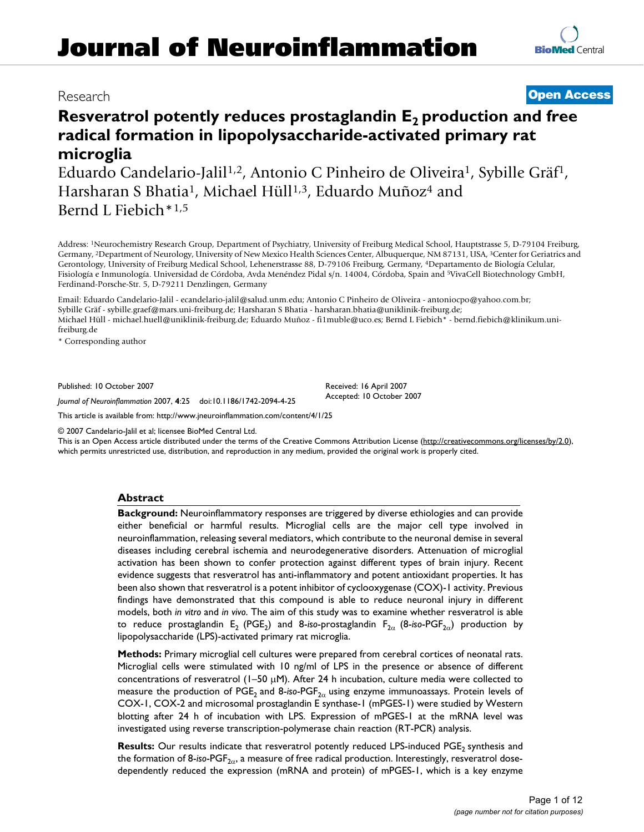# Research **[Open Access](http://www.biomedcentral.com/info/about/charter/) Resveratrol potently reduces prostaglandin E<sub>2</sub> production and free radical formation in lipopolysaccharide-activated primary rat**

**microglia** Eduardo Candelario-Jalil<sup>1,2</sup>, Antonio C Pinheiro de Oliveira<sup>1</sup>, Sybille Gräf<sup>1</sup>, Harsharan S Bhatia<sup>1</sup>, Michael Hüll<sup>1,3</sup>, Eduardo Muñoz<sup>4</sup> and Bernd L Fiebich\*1,5

Address: 1Neurochemistry Research Group, Department of Psychiatry, University of Freiburg Medical School, Hauptstrasse 5, D-79104 Freiburg, Germany, 2Department of Neurology, University of New Mexico Health Sciences Center, Albuquerque, NM 87131, USA, 3Center for Geriatrics and Gerontology, University of Freiburg Medical School, Lehenerstrasse 88, D-79106 Freiburg, Germany, 4Departamento de Biología Celular, Fisiología e Inmunología. Universidad de Córdoba, Avda Menéndez Pidal s/n. 14004, Córdoba, Spain and 5VivaCell Biotechnology GmbH, Ferdinand-Porsche-Str. 5, D-79211 Denzlingen, Germany

Email: Eduardo Candelario-Jalil - ecandelario-jalil@salud.unm.edu; Antonio C Pinheiro de Oliveira - antoniocpo@yahoo.com.br; Sybille Gräf - sybille.graef@mars.uni-freiburg.de; Harsharan S Bhatia - harsharan.bhatia@uniklinik-freiburg.de; Michael Hüll - michael.huell@uniklinik-freiburg.de; Eduardo Muñoz - fi1muble@uco.es; Bernd L Fiebich\* - bernd.fiebich@klinikum.unifreiburg.de

\* Corresponding author

Published: 10 October 2007

*Journal of Neuroinflammation* 2007, **4**:25 doi:10.1186/1742-2094-4-25

Received: 16 April 2007 Accepted: 10 October 2007

[This article is available from: http://www.jneuroinflammation.com/content/4/1/25](http://www.jneuroinflammation.com/content/4/1/25)

© 2007 Candelario-Jalil et al; licensee BioMed Central Ltd.

This is an Open Access article distributed under the terms of the Creative Commons Attribution License [\(http://creativecommons.org/licenses/by/2.0\)](http://creativecommons.org/licenses/by/2.0), which permits unrestricted use, distribution, and reproduction in any medium, provided the original work is properly cited.

# **Abstract**

**Background:** Neuroinflammatory responses are triggered by diverse ethiologies and can provide either beneficial or harmful results. Microglial cells are the major cell type involved in neuroinflammation, releasing several mediators, which contribute to the neuronal demise in several diseases including cerebral ischemia and neurodegenerative disorders. Attenuation of microglial activation has been shown to confer protection against different types of brain injury. Recent evidence suggests that resveratrol has anti-inflammatory and potent antioxidant properties. It has been also shown that resveratrol is a potent inhibitor of cyclooxygenase (COX)-1 activity. Previous findings have demonstrated that this compound is able to reduce neuronal injury in different models, both *in vitro* and *in vivo*. The aim of this study was to examine whether resveratrol is able to reduce prostaglandin E<sub>2</sub> (PGE<sub>2</sub>) and 8-*iso*-prostaglandin F<sub>2α</sub> (8-*iso-PGF<sub>2α</sub>)* production by lipopolysaccharide (LPS)-activated primary rat microglia.

**Methods:** Primary microglial cell cultures were prepared from cerebral cortices of neonatal rats. Microglial cells were stimulated with 10 ng/ml of LPS in the presence or absence of different concentrations of resveratrol ( $1-50 \mu$ M). After 24 h incubation, culture media were collected to measure the production of PGE<sub>2</sub> and 8-iso-PGF<sub>2α</sub> using enzyme immunoassays. Protein levels of COX-1, COX-2 and microsomal prostaglandin E synthase-1 (mPGES-1) were studied by Western blotting after 24 h of incubation with LPS. Expression of mPGES-1 at the mRNA level was investigated using reverse transcription-polymerase chain reaction (RT-PCR) analysis.

Results: Our results indicate that resveratrol potently reduced LPS-induced PGE<sub>2</sub> synthesis and the formation of 8-*iso-PGF<sub>2α</sub>*, a measure of free radical production. Interestingly, resveratrol dosedependently reduced the expression (mRNA and protein) of mPGES-1, which is a key enzyme

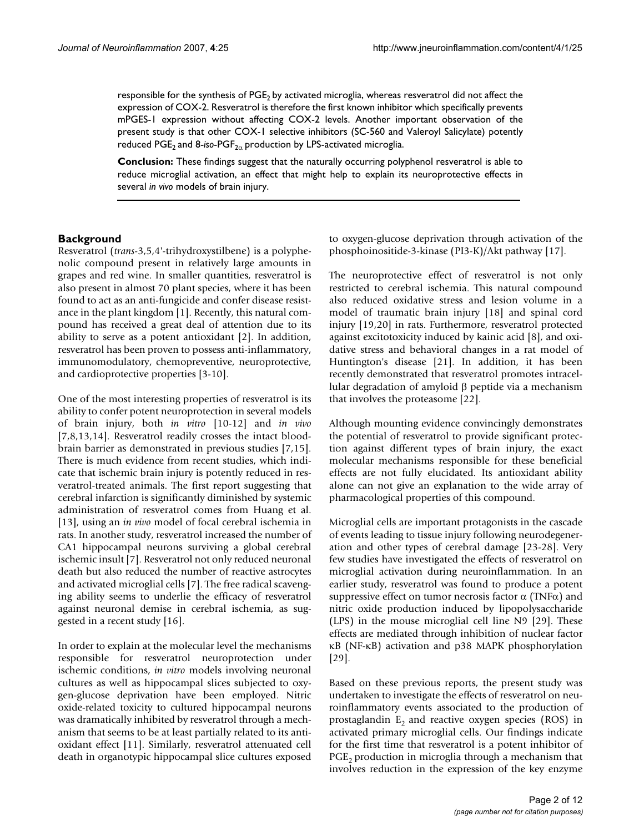responsible for the synthesis of PGE<sub>2</sub> by activated microglia, whereas resveratrol did not affect the expression of COX-2. Resveratrol is therefore the first known inhibitor which specifically prevents mPGES-1 expression without affecting COX-2 levels. Another important observation of the present study is that other COX-1 selective inhibitors (SC-560 and Valeroyl Salicylate) potently reduced PGE<sub>2</sub> and 8-iso-PGF<sub>2α</sub> production by LPS-activated microglia.

**Conclusion:** These findings suggest that the naturally occurring polyphenol resveratrol is able to reduce microglial activation, an effect that might help to explain its neuroprotective effects in several *in vivo* models of brain injury.

# **Background**

Resveratrol (*trans*-3,5,4'-trihydroxystilbene) is a polyphenolic compound present in relatively large amounts in grapes and red wine. In smaller quantities, resveratrol is also present in almost 70 plant species, where it has been found to act as an anti-fungicide and confer disease resistance in the plant kingdom [1]. Recently, this natural compound has received a great deal of attention due to its ability to serve as a potent antioxidant [2]. In addition, resveratrol has been proven to possess anti-inflammatory, immunomodulatory, chemopreventive, neuroprotective, and cardioprotective properties [3-10].

One of the most interesting properties of resveratrol is its ability to confer potent neuroprotection in several models of brain injury, both *in vitro* [10-12] and *in vivo* [7,8,13,14]. Resveratrol readily crosses the intact bloodbrain barrier as demonstrated in previous studies [7,15]. There is much evidence from recent studies, which indicate that ischemic brain injury is potently reduced in resveratrol-treated animals. The first report suggesting that cerebral infarction is significantly diminished by systemic administration of resveratrol comes from Huang et al. [13], using an *in vivo* model of focal cerebral ischemia in rats. In another study, resveratrol increased the number of CA1 hippocampal neurons surviving a global cerebral ischemic insult [7]. Resveratrol not only reduced neuronal death but also reduced the number of reactive astrocytes and activated microglial cells [7]. The free radical scavenging ability seems to underlie the efficacy of resveratrol against neuronal demise in cerebral ischemia, as suggested in a recent study [16].

In order to explain at the molecular level the mechanisms responsible for resveratrol neuroprotection under ischemic conditions, *in vitro* models involving neuronal cultures as well as hippocampal slices subjected to oxygen-glucose deprivation have been employed. Nitric oxide-related toxicity to cultured hippocampal neurons was dramatically inhibited by resveratrol through a mechanism that seems to be at least partially related to its antioxidant effect [11]. Similarly, resveratrol attenuated cell death in organotypic hippocampal slice cultures exposed

to oxygen-glucose deprivation through activation of the phosphoinositide-3-kinase (PI3-K)/Akt pathway [17].

The neuroprotective effect of resveratrol is not only restricted to cerebral ischemia. This natural compound also reduced oxidative stress and lesion volume in a model of traumatic brain injury [18] and spinal cord injury [19,20] in rats. Furthermore, resveratrol protected against excitotoxicity induced by kainic acid [8], and oxidative stress and behavioral changes in a rat model of Huntington's disease [21]. In addition, it has been recently demonstrated that resveratrol promotes intracellular degradation of amyloid β peptide via a mechanism that involves the proteasome [22].

Although mounting evidence convincingly demonstrates the potential of resveratrol to provide significant protection against different types of brain injury, the exact molecular mechanisms responsible for these beneficial effects are not fully elucidated. Its antioxidant ability alone can not give an explanation to the wide array of pharmacological properties of this compound.

Microglial cells are important protagonists in the cascade of events leading to tissue injury following neurodegeneration and other types of cerebral damage [23-28]. Very few studies have investigated the effects of resveratrol on microglial activation during neuroinflammation. In an earlier study, resveratrol was found to produce a potent suppressive effect on tumor necrosis factor  $\alpha$  (TNF $\alpha$ ) and nitric oxide production induced by lipopolysaccharide (LPS) in the mouse microglial cell line N9 [29]. These effects are mediated through inhibition of nuclear factor κB (NF-κB) activation and p38 MAPK phosphorylation [29].

Based on these previous reports, the present study was undertaken to investigate the effects of resveratrol on neuroinflammatory events associated to the production of prostaglandin  $E<sub>2</sub>$  and reactive oxygen species (ROS) in activated primary microglial cells. Our findings indicate for the first time that resveratrol is a potent inhibitor of  $PGE<sub>2</sub>$  production in microglia through a mechanism that involves reduction in the expression of the key enzyme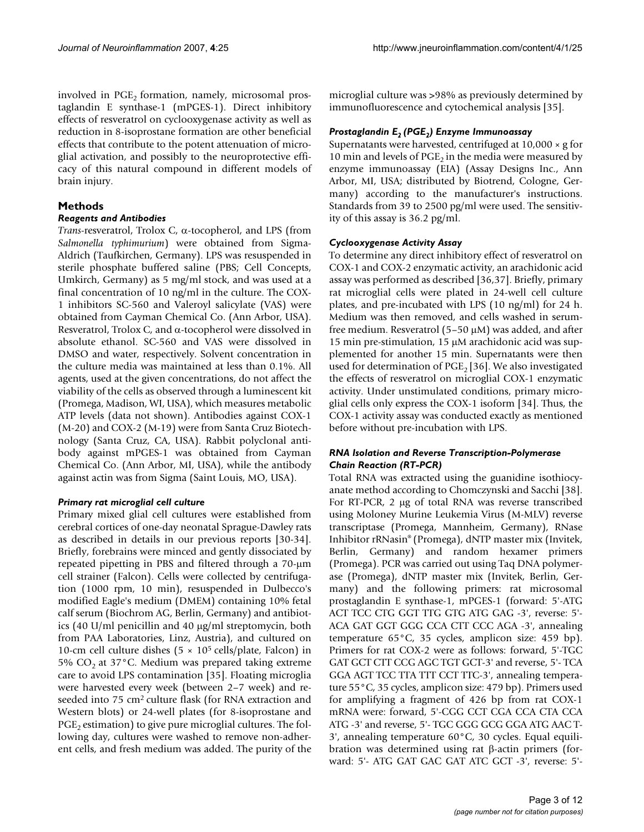involved in  $PGE<sub>2</sub>$  formation, namely, microsomal prostaglandin E synthase-1 (mPGES-1). Direct inhibitory effects of resveratrol on cyclooxygenase activity as well as reduction in 8-isoprostane formation are other beneficial effects that contribute to the potent attenuation of microglial activation, and possibly to the neuroprotective efficacy of this natural compound in different models of brain injury.

# **Methods**

# *Reagents and Antibodies*

*Trans*-resveratrol, Trolox C, α-tocopherol, and LPS (from *Salmonella typhimurium*) were obtained from Sigma-Aldrich (Taufkirchen, Germany). LPS was resuspended in sterile phosphate buffered saline (PBS; Cell Concepts, Umkirch, Germany) as 5 mg/ml stock, and was used at a final concentration of 10 ng/ml in the culture. The COX-1 inhibitors SC-560 and Valeroyl salicylate (VAS) were obtained from Cayman Chemical Co. (Ann Arbor, USA). Resveratrol, Trolox C, and  $\alpha$ -tocopherol were dissolved in absolute ethanol. SC-560 and VAS were dissolved in DMSO and water, respectively. Solvent concentration in the culture media was maintained at less than 0.1%. All agents, used at the given concentrations, do not affect the viability of the cells as observed through a luminescent kit (Promega, Madison, WI, USA), which measures metabolic ATP levels (data not shown). Antibodies against COX-1 (M-20) and COX-2 (M-19) were from Santa Cruz Biotechnology (Santa Cruz, CA, USA). Rabbit polyclonal antibody against mPGES-1 was obtained from Cayman Chemical Co. (Ann Arbor, MI, USA), while the antibody against actin was from Sigma (Saint Louis, MO, USA).

# *Primary rat microglial cell culture*

Primary mixed glial cell cultures were established from cerebral cortices of one-day neonatal Sprague-Dawley rats as described in details in our previous reports [30-34]. Briefly, forebrains were minced and gently dissociated by repeated pipetting in PBS and filtered through a 70-µm cell strainer (Falcon). Cells were collected by centrifugation (1000 rpm, 10 min), resuspended in Dulbecco's modified Eagle's medium (DMEM) containing 10% fetal calf serum (Biochrom AG, Berlin, Germany) and antibiotics (40 U/ml penicillin and 40 µg/ml streptomycin, both from PAA Laboratories, Linz, Austria), and cultured on 10-cm cell culture dishes  $(5 \times 10^5 \text{ cells/plate, Falcon})$  in 5%  $CO<sub>2</sub>$  at 37°C. Medium was prepared taking extreme care to avoid LPS contamination [35]. Floating microglia were harvested every week (between 2–7 week) and reseeded into 75 cm2 culture flask (for RNA extraction and Western blots) or 24-well plates (for 8-isoprostane and  $PGE<sub>2</sub>$  estimation) to give pure microglial cultures. The following day, cultures were washed to remove non-adherent cells, and fresh medium was added. The purity of the microglial culture was >98% as previously determined by immunofluorescence and cytochemical analysis [35].

# *Prostaglandin E2 (PGE2) Enzyme Immunoassay*

Supernatants were harvested, centrifuged at  $10,000 \times g$  for 10 min and levels of  $PGE<sub>2</sub>$  in the media were measured by enzyme immunoassay (EIA) (Assay Designs Inc., Ann Arbor, MI, USA; distributed by Biotrend, Cologne, Germany) according to the manufacturer's instructions. Standards from 39 to 2500 pg/ml were used. The sensitivity of this assay is 36.2 pg/ml.

# *Cyclooxygenase Activity Assay*

To determine any direct inhibitory effect of resveratrol on COX-1 and COX-2 enzymatic activity, an arachidonic acid assay was performed as described [36,37]. Briefly, primary rat microglial cells were plated in 24-well cell culture plates, and pre-incubated with LPS (10 ng/ml) for 24 h. Medium was then removed, and cells washed in serumfree medium. Resveratrol  $(5-50 \mu M)$  was added, and after 15 min pre-stimulation, 15 µM arachidonic acid was supplemented for another 15 min. Supernatants were then used for determination of  $PGE<sub>2</sub>$  [36]. We also investigated the effects of resveratrol on microglial COX-1 enzymatic activity. Under unstimulated conditions, primary microglial cells only express the COX-1 isoform [34]. Thus, the COX-1 activity assay was conducted exactly as mentioned before without pre-incubation with LPS.

# *RNA Isolation and Reverse Transcription-Polymerase Chain Reaction (RT-PCR)*

Total RNA was extracted using the guanidine isothiocyanate method according to Chomczynski and Sacchi [38]. For RT-PCR, 2 µg of total RNA was reverse transcribed using Moloney Murine Leukemia Virus (M-MLV) reverse transcriptase (Promega, Mannheim, Germany), RNase Inhibitor rRNasin® (Promega), dNTP master mix (Invitek, Berlin, Germany) and random hexamer primers (Promega). PCR was carried out using Taq DNA polymerase (Promega), dNTP master mix (Invitek, Berlin, Germany) and the following primers: rat microsomal prostaglandin E synthase-1, mPGES-1 (forward: 5'-ATG ACT TCC CTG GGT TTG GTG ATG GAG -3', reverse: 5'- ACA GAT GGT GGG CCA CTT CCC AGA -3', annealing temperature 65°C, 35 cycles, amplicon size: 459 bp). Primers for rat COX-2 were as follows: forward, 5'-TGC GAT GCT CTT CCG AGC TGT GCT-3' and reverse, 5'- TCA GGA AGT TCC TTA TTT CCT TTC-3', annealing temperature 55°C, 35 cycles, amplicon size: 479 bp). Primers used for amplifying a fragment of 426 bp from rat COX-1 mRNA were: forward, 5'-CGG CCT CGA CCA CTA CCA ATG -3' and reverse, 5'- TGC GGG GCG GGA ATG AAC T-3', annealing temperature 60°C, 30 cycles. Equal equilibration was determined using rat β-actin primers (forward: 5'- ATG GAT GAC GAT ATC GCT -3', reverse: 5'-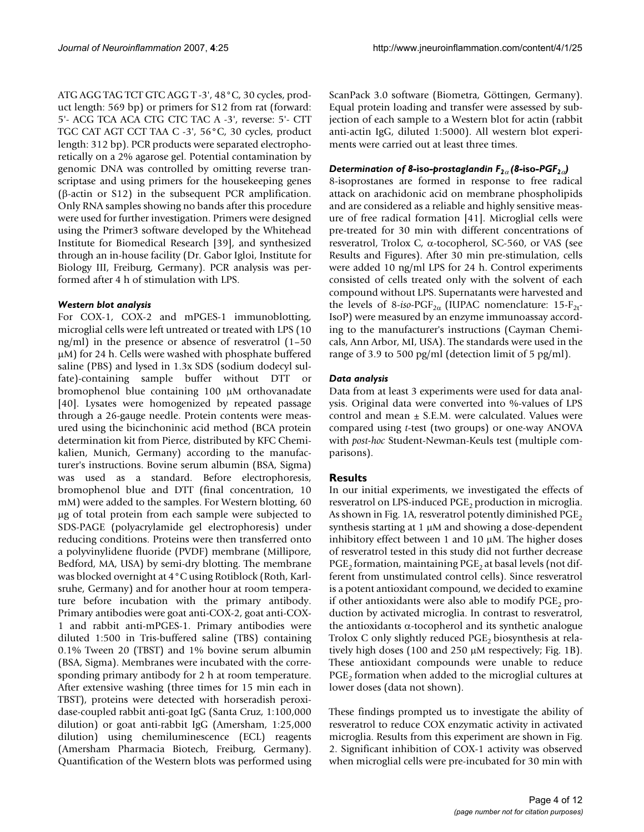ATG AGG TAG TCT GTC AGG T -3', 48°C, 30 cycles, product length: 569 bp) or primers for S12 from rat (forward: 5'- ACG TCA ACA CTG CTC TAC A -3', reverse: 5'- CTT TGC CAT AGT CCT TAA C -3', 56°C, 30 cycles, product length: 312 bp). PCR products were separated electrophoretically on a 2% agarose gel. Potential contamination by genomic DNA was controlled by omitting reverse transcriptase and using primers for the housekeeping genes (β-actin or S12) in the subsequent PCR amplification. Only RNA samples showing no bands after this procedure were used for further investigation. Primers were designed using the Primer3 software developed by the Whitehead Institute for Biomedical Research [39], and synthesized through an in-house facility (Dr. Gabor Igloi, Institute for Biology III, Freiburg, Germany). PCR analysis was performed after 4 h of stimulation with LPS.

### *Western blot analysis*

For COX-1, COX-2 and mPGES-1 immunoblotting, microglial cells were left untreated or treated with LPS (10 ng/ml) in the presence or absence of resveratrol (1–50 µM) for 24 h. Cells were washed with phosphate buffered saline (PBS) and lysed in 1.3x SDS (sodium dodecyl sulfate)-containing sample buffer without DTT or bromophenol blue containing 100 µM orthovanadate [40]. Lysates were homogenized by repeated passage through a 26-gauge needle. Protein contents were measured using the bicinchoninic acid method (BCA protein determination kit from Pierce, distributed by KFC Chemikalien, Munich, Germany) according to the manufacturer's instructions. Bovine serum albumin (BSA, Sigma) was used as a standard. Before electrophoresis, bromophenol blue and DTT (final concentration, 10 mM) were added to the samples. For Western blotting, 60 µg of total protein from each sample were subjected to SDS-PAGE (polyacrylamide gel electrophoresis) under reducing conditions. Proteins were then transferred onto a polyvinylidene fluoride (PVDF) membrane (Millipore, Bedford, MA, USA) by semi-dry blotting. The membrane was blocked overnight at 4°C using Rotiblock (Roth, Karlsruhe, Germany) and for another hour at room temperature before incubation with the primary antibody. Primary antibodies were goat anti-COX-2, goat anti-COX-1 and rabbit anti-mPGES-1. Primary antibodies were diluted 1:500 in Tris-buffered saline (TBS) containing 0.1% Tween 20 (TBST) and 1% bovine serum albumin (BSA, Sigma). Membranes were incubated with the corresponding primary antibody for 2 h at room temperature. After extensive washing (three times for 15 min each in TBST), proteins were detected with horseradish peroxidase-coupled rabbit anti-goat IgG (Santa Cruz, 1:100,000 dilution) or goat anti-rabbit IgG (Amersham, 1:25,000 dilution) using chemiluminescence (ECL) reagents (Amersham Pharmacia Biotech, Freiburg, Germany). Quantification of the Western blots was performed using ScanPack 3.0 software (Biometra, Göttingen, Germany). Equal protein loading and transfer were assessed by subjection of each sample to a Western blot for actin (rabbit anti-actin IgG, diluted 1:5000). All western blot experiments were carried out at least three times.

# *Determination of 8-iso-prostaglandin*  $F_{2\alpha}$  *(8-iso-PGF<sub>2α</sub>)*

8-isoprostanes are formed in response to free radical attack on arachidonic acid on membrane phospholipids and are considered as a reliable and highly sensitive measure of free radical formation [41]. Microglial cells were pre-treated for 30 min with different concentrations of resveratrol, Trolox C, α-tocopherol, SC-560, or VAS (see Results and Figures). After 30 min pre-stimulation, cells were added 10 ng/ml LPS for 24 h. Control experiments consisted of cells treated only with the solvent of each compound without LPS. Supernatants were harvested and the levels of 8-iso-PGF<sub>2α</sub> (IUPAC nomenclature: 15-F<sub>2t</sub>-IsoP) were measured by an enzyme immunoassay according to the manufacturer's instructions (Cayman Chemicals, Ann Arbor, MI, USA). The standards were used in the range of 3.9 to 500 pg/ml (detection limit of 5 pg/ml).

# *Data analysis*

Data from at least 3 experiments were used for data analysis. Original data were converted into %-values of LPS control and mean ± S.E.M. were calculated. Values were compared using *t*-test (two groups) or one-way ANOVA with *post-hoc* Student-Newman-Keuls test (multiple comparisons).

# **Results**

In our initial experiments, we investigated the effects of resveratrol on LPS-induced  $PGE<sub>2</sub>$  production in microglia. As shown in Fig. 1A, resveratrol potently diminished  $PGE_2$ synthesis starting at 1  $\mu$ M and showing a dose-dependent inhibitory effect between 1 and 10  $\mu$ M. The higher doses of resveratrol tested in this study did not further decrease  $PGE<sub>2</sub>$  formation, maintaining  $PGE<sub>2</sub>$  at basal levels (not different from unstimulated control cells). Since resveratrol is a potent antioxidant compound, we decided to examine if other antioxidants were also able to modify  $PGE<sub>2</sub>$  production by activated microglia. In contrast to resveratrol, the antioxidants  $α$ -tocopherol and its synthetic analogue Trolox C only slightly reduced  $PGE<sub>2</sub>$  biosynthesis at relatively high doses (100 and 250 µM respectively; Fig. 1B). These antioxidant compounds were unable to reduce  $PGE<sub>2</sub>$  formation when added to the microglial cultures at lower doses (data not shown).

These findings prompted us to investigate the ability of resveratrol to reduce COX enzymatic activity in activated microglia. Results from this experiment are shown in Fig. 2. Significant inhibition of COX-1 activity was observed when microglial cells were pre-incubated for 30 min with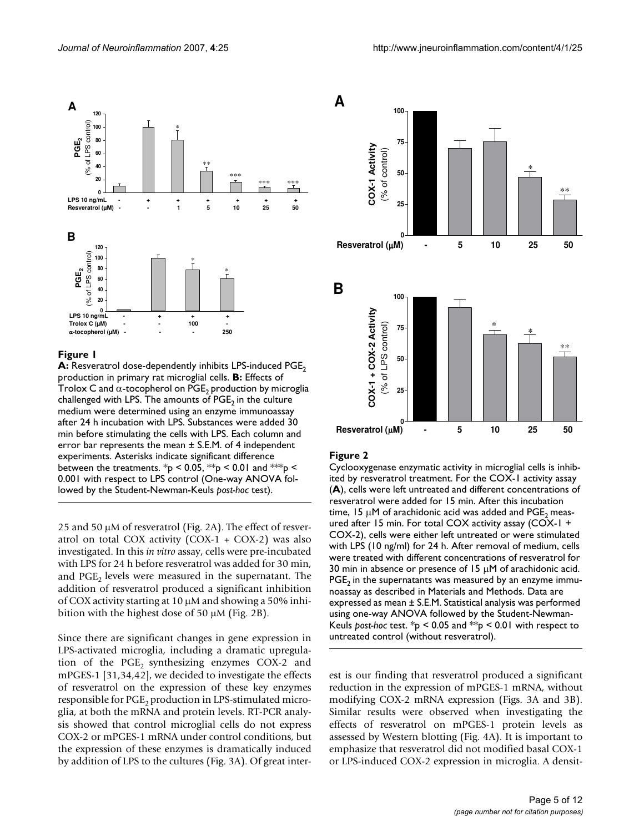

### **Figure I**

**A:** Resveratrol dose-dependently inhibits LPS-induced PGE<sub>2</sub> production in primary rat microglial cells. **B:** Effects of Trolox C and  $\alpha$ -tocopherol on PGE<sub>2</sub> production by microglia challenged with LPS. The amounts of  $PGE<sub>2</sub>$  in the culture medium were determined using an enzyme immunoassay after 24 h incubation with LPS. Substances were added 30 min before stimulating the cells with LPS. Each column and error bar represents the mean ± S.E.M. of 4 independent experiments. Asterisks indicate significant difference between the treatments. \*p < 0.05, \*\*p < 0.01 and \*\*\*p < 0.001 with respect to LPS control (One-way ANOVA followed by the Student-Newman-Keuls *post-hoc* test).

25 and 50 µM of resveratrol (Fig. 2A). The effect of resveratrol on total COX activity  $(COX-1 + COX-2)$  was also investigated. In this *in vitro* assay, cells were pre-incubated with LPS for 24 h before resveratrol was added for 30 min, and  $PGE<sub>2</sub>$  levels were measured in the supernatant. The addition of resveratrol produced a significant inhibition of COX activity starting at 10 µM and showing a 50% inhibition with the highest dose of 50 µM (Fig. 2B).

Since there are significant changes in gene expression in LPS-activated microglia, including a dramatic upregulation of the  $PGE<sub>2</sub>$  synthesizing enzymes COX-2 and mPGES-1 [31,34,42], we decided to investigate the effects of resveratrol on the expression of these key enzymes responsible for  $PGE<sub>2</sub>$  production in LPS-stimulated microglia, at both the mRNA and protein levels. RT-PCR analysis showed that control microglial cells do not express COX-2 or mPGES-1 mRNA under control conditions, but the expression of these enzymes is dramatically induced by addition of LPS to the cultures (Fig. 3A). Of great inter-



#### Figure 2

Cyclooxygenase enzymatic activity in microglial cells is inhibited by resveratrol treatment. For the COX-1 activity assay (**A**), cells were left untreated and different concentrations of resveratrol were added for 15 min. After this incubation time, 15  $\mu$ M of arachidonic acid was added and PGE<sub>2</sub> measured after 15 min. For total COX activity assay (COX-1 + COX-2), cells were either left untreated or were stimulated with LPS (10 ng/ml) for 24 h. After removal of medium, cells were treated with different concentrations of resveratrol for 30 min in absence or presence of 15  $\mu$ M of arachidonic acid.  $PGE<sub>2</sub>$  in the supernatants was measured by an enzyme immunoassay as described in Materials and Methods. Data are expressed as mean ± S.E.M. Statistical analysis was performed using one-way ANOVA followed by the Student-Newman-Keuls *post-hoc* test. \*p < 0.05 and \*\*p < 0.01 with respect to untreated control (without resveratrol).

est is our finding that resveratrol produced a significant reduction in the expression of mPGES-1 mRNA, without modifying COX-2 mRNA expression (Figs. 3A and 3B). Similar results were observed when investigating the effects of resveratrol on mPGES-1 protein levels as assessed by Western blotting (Fig. 4A). It is important to emphasize that resveratrol did not modified basal COX-1 or LPS-induced COX-2 expression in microglia. A densit-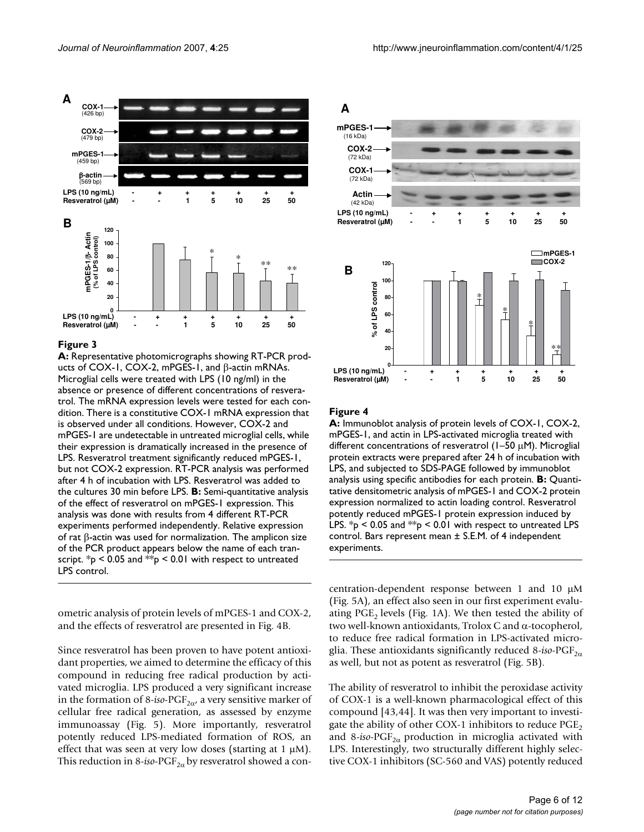

A: Representative photomicrographs showing RT-PCR products of COX-1, COX-2, mPGES-1, and β-actin mRNAs. Microglial cells were treated with LPS (10 ng/ml) in the absence or presence of different concentrations of resveratrol. The mRNA expression levels were tested for each condition. There is a constitutive COX-1 mRNA expression that is observed under all conditions. However, COX-2 and mPGES-1 are undetectable in untreated microglial cells, while their expression is dramatically increased in the presence of LPS. Resveratrol treatment significantly reduced mPGES-1, but not COX-2 expression. RT-PCR analysis was performed after 4 h of incubation with LPS. Resveratrol was added to the cultures 30 min before LPS. **B:** Semi-quantitative analysis of the effect of resveratrol on mPGES-1 expression. This analysis was done with results from 4 different RT-PCR experiments performed independently. Relative expression of rat β-actin was used for normalization. The amplicon size of the PCR product appears below the name of each transcript.  $*_{p}$  < 0.05 and  $*_{p}$  < 0.01 with respect to untreated LPS control.

ometric analysis of protein levels of mPGES-1 and COX-2, and the effects of resveratrol are presented in Fig. 4B.

Since resveratrol has been proven to have potent antioxidant properties, we aimed to determine the efficacy of this compound in reducing free radical production by activated microglia. LPS produced a very significant increase in the formation of 8-*iso*-PGF<sub>2 $\alpha$ </sub>, a very sensitive marker of cellular free radical generation, as assessed by enzyme immunoassay (Fig. 5). More importantly, resveratrol potently reduced LPS-mediated formation of ROS, an effect that was seen at very low doses (starting at  $1 \mu M$ ). This reduction in 8-*iso*-PGF<sub>2 $\alpha$ </sub> by resveratrol showed a con-



#### Figure 4

**A:** Immunoblot analysis of protein levels of COX-1, COX-2, mPGES-1, and actin in LPS-activated microglia treated with different concentrations of resveratrol (1–50 µM). Microglial protein extracts were prepared after 24 h of incubation with LPS, and subjected to SDS-PAGE followed by immunoblot analysis using specific antibodies for each protein. **B:** Quantitative densitometric analysis of mPGES-1 and COX-2 protein expression normalized to actin loading control. Resveratrol potently reduced mPGES-1 protein expression induced by LPS.  $p$  < 0.05 and  $p$  < 0.01 with respect to untreated LPS control. Bars represent mean ± S.E.M. of 4 independent experiments.

centration-dependent response between 1 and 10 µM (Fig. 5A), an effect also seen in our first experiment evaluating PGE<sub>2</sub> levels (Fig. 1A). We then tested the ability of two well-known antioxidants, Trolox C and α-tocopherol, to reduce free radical formation in LPS-activated microglia. These antioxidants significantly reduced 8-*iso-PGF*<sub>2 $\alpha$ </sub> as well, but not as potent as resveratrol (Fig. 5B).

The ability of resveratrol to inhibit the peroxidase activity of COX-1 is a well-known pharmacological effect of this compound [43,44]. It was then very important to investigate the ability of other COX-1 inhibitors to reduce  $PGE<sub>2</sub>$ and 8-*iso*-PGF<sub>2 $\alpha$ </sub> production in microglia activated with LPS. Interestingly, two structurally different highly selective COX-1 inhibitors (SC-560 and VAS) potently reduced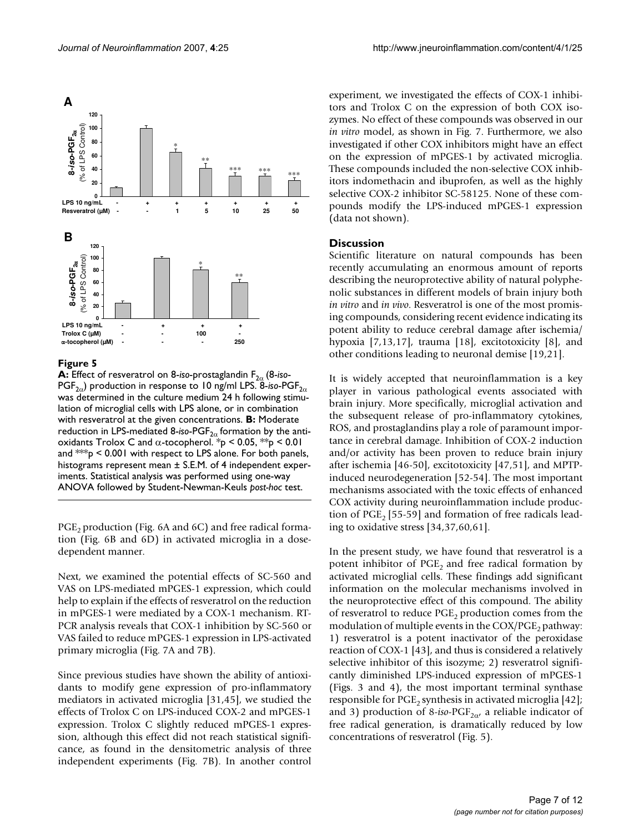

**Figure 5** ) prostaglandin F2α PGF (8-iso-2012) production in response to 10 ng/ml LPS (8-iso-2012) production in response to 10 ng/ml LPS (8-iso-2012) production in response to 10 ng/ml LPS (8-iso-2012) production in resp **A:** Effect of resveratrol on 8-*i*so-prostaglandin F<sub>2α</sub> (8-*i*so-PGF<sub>2α</sub>) production in response to 10 ng/ml LPS. 8-iso-PGF<sub>2α</sub> was determined in the culture medium 24 h following stimulation of microglial cells with LPS alone, or in combination with resveratrol at the given concentrations. **B:** Moderate reduction in LPS-mediated 8-iso-PGF<sub>2α</sub> formation by the antioxidants Trolox C and  $\alpha$ -tocopherol. \*p < 0.05, \*\*p < 0.01 and  $**p$  < 0.001 with respect to LPS alone. For both panels, histograms represent mean  $\pm$  S.E.M. of 4 independent experiments. Statistical analysis was performed using one-way ANOVA followed by Student-Newman-Keuls *post-hoc* test.

 $PGE$ <sub>2</sub> production (Fig. 6A and 6C) and free radical formation (Fig. 6B and 6D) in activated microglia in a dosedependent manner.

Next, we examined the potential effects of SC-560 and VAS on LPS-mediated mPGES-1 expression, which could help to explain if the effects of resveratrol on the reduction in mPGES-1 were mediated by a COX-1 mechanism. RT-PCR analysis reveals that COX-1 inhibition by SC-560 or VAS failed to reduce mPGES-1 expression in LPS-activated primary microglia (Fig. 7A and 7B).

Since previous studies have shown the ability of antioxidants to modify gene expression of pro-inflammatory mediators in activated microglia [31,45], we studied the effects of Trolox C on LPS-induced COX-2 and mPGES-1 expression. Trolox C slightly reduced mPGES-1 expression, although this effect did not reach statistical significance, as found in the densitometric analysis of three independent experiments (Fig. 7B). In another control

experiment, we investigated the effects of COX-1 inhibitors and Trolox C on the expression of both COX isozymes. No effect of these compounds was observed in our *in vitro* model, as shown in Fig. 7. Furthermore, we also investigated if other COX inhibitors might have an effect on the expression of mPGES-1 by activated microglia. These compounds included the non-selective COX inhibitors indomethacin and ibuprofen, as well as the highly selective COX-2 inhibitor SC-58125. None of these compounds modify the LPS-induced mPGES-1 expression (data not shown).

### **Discussion**

Scientific literature on natural compounds has been recently accumulating an enormous amount of reports describing the neuroprotective ability of natural polyphenolic substances in different models of brain injury both *in vitro* and *in vivo*. Resveratrol is one of the most promising compounds, considering recent evidence indicating its potent ability to reduce cerebral damage after ischemia/ hypoxia [7,13,17], trauma [18], excitotoxicity [8], and other conditions leading to neuronal demise [19,21].

It is widely accepted that neuroinflammation is a key player in various pathological events associated with brain injury. More specifically, microglial activation and the subsequent release of pro-inflammatory cytokines, ROS, and prostaglandins play a role of paramount importance in cerebral damage. Inhibition of COX-2 induction and/or activity has been proven to reduce brain injury after ischemia [46-50], excitotoxicity [47,51], and MPTPinduced neurodegeneration [52-54]. The most important mechanisms associated with the toxic effects of enhanced COX activity during neuroinflammation include production of  $PGE<sub>2</sub>$  [55-59] and formation of free radicals leading to oxidative stress [34,37,60,61].

In the present study, we have found that resveratrol is a potent inhibitor of  $PGE_2$  and free radical formation by activated microglial cells. These findings add significant information on the molecular mechanisms involved in the neuroprotective effect of this compound. The ability of resveratrol to reduce  $PGE<sub>2</sub>$  production comes from the modulation of multiple events in the  $COX/PCE<sub>2</sub>$  pathway: 1) resveratrol is a potent inactivator of the peroxidase reaction of COX-1 [43], and thus is considered a relatively selective inhibitor of this isozyme; 2) resveratrol significantly diminished LPS-induced expression of mPGES-1 (Figs. 3 and 4), the most important terminal synthase responsible for  $PGE_2$  synthesis in activated microglia [42]; and 3) production of 8-*iso*-PGF<sub>2 $\alpha$ </sub>, a reliable indicator of free radical generation, is dramatically reduced by low concentrations of resveratrol (Fig. 5).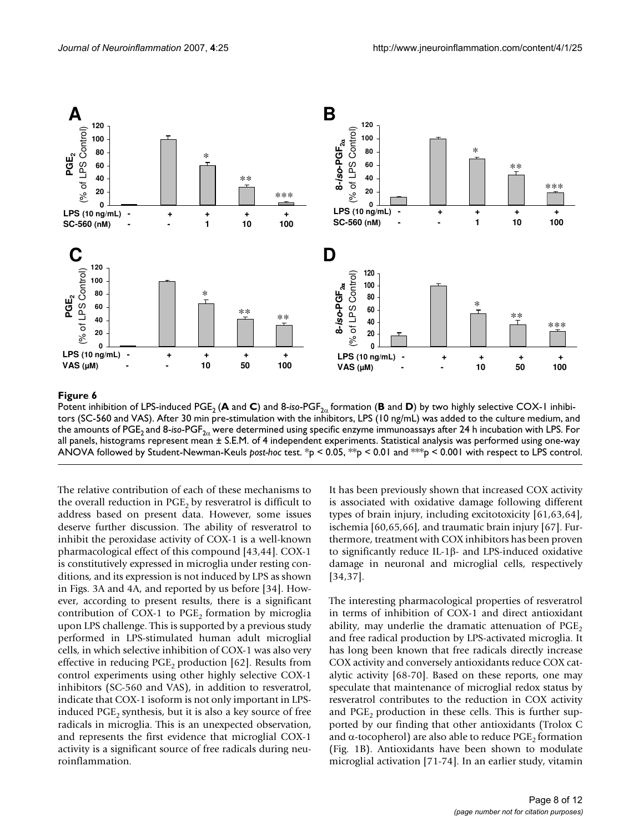

# **Potent in**  $\mathbf{S}$  is and  $\mathbf{S}$  and  $\mathbf{S}$  for  $\mathbf{S}$  for an and  $\mathbf{S}$  formation ( $\mathbf{S}$  is and  $\mathbf{S}$  is and  $\mathbf{S}$  is an and  $\mathbf{S}$  is an and  $\mathbf{S}$  is an analyzing selective COX-1 in  $\mathbf{S}$  is an

Potent inhibition of LPS-induced PGE<sub>2</sub> (**A** and **C**) and 8-*iso-PGF*<sub>2α</sub> formation (**B** and **D**) by two highly selective COX-1 inhibitors (SC-560 and VAS). After 30 min pre-stimulation with the inhibitors, LPS (10 ng/mL) was added to the culture medium, and the amounts of PGE<sub>2</sub> and 8-*iso-PGF<sub>2α</sub>* were determined using specific enzyme immunoassays after 24 h incubation with LPS. For all panels, histograms represent mean ± S.E.M. of 4 independent experiments. Statistical analysis was performed using one-way ANOVA followed by Student-Newman-Keuls *post-hoc* test. \*p < 0.05, \*\*p < 0.01 and \*\*\*p < 0.001 with respect to LPS control.

The relative contribution of each of these mechanisms to the overall reduction in  $PGE<sub>2</sub>$  by resveratrol is difficult to address based on present data. However, some issues deserve further discussion. The ability of resveratrol to inhibit the peroxidase activity of COX-1 is a well-known pharmacological effect of this compound [43,44]. COX-1 is constitutively expressed in microglia under resting conditions, and its expression is not induced by LPS as shown in Figs. 3A and 4A, and reported by us before [34]. However, according to present results, there is a significant contribution of COX-1 to  $PGE<sub>2</sub>$  formation by microglia upon LPS challenge. This is supported by a previous study performed in LPS-stimulated human adult microglial cells, in which selective inhibition of COX-1 was also very effective in reducing  $PGE_2$  production [62]. Results from control experiments using other highly selective COX-1 inhibitors (SC-560 and VAS), in addition to resveratrol, indicate that COX-1 isoform is not only important in LPSinduced  $PGE_2$  synthesis, but it is also a key source of free radicals in microglia. This is an unexpected observation, and represents the first evidence that microglial COX-1 activity is a significant source of free radicals during neuroinflammation.

It has been previously shown that increased COX activity is associated with oxidative damage following different types of brain injury, including excitotoxicity [61,63,64], ischemia [60,65,66], and traumatic brain injury [67]. Furthermore, treatment with COX inhibitors has been proven to significantly reduce IL-1β- and LPS-induced oxidative damage in neuronal and microglial cells, respectively [34,37].

The interesting pharmacological properties of resveratrol in terms of inhibition of COX-1 and direct antioxidant ability, may underlie the dramatic attenuation of  $PGE<sub>2</sub>$ and free radical production by LPS-activated microglia. It has long been known that free radicals directly increase COX activity and conversely antioxidants reduce COX catalytic activity [68-70]. Based on these reports, one may speculate that maintenance of microglial redox status by resveratrol contributes to the reduction in COX activity and  $PGE$ , production in these cells. This is further supported by our finding that other antioxidants (Trolox C and  $\alpha$ -tocopherol) are also able to reduce PGE<sub>2</sub> formation (Fig. 1B). Antioxidants have been shown to modulate microglial activation [71-74]. In an earlier study, vitamin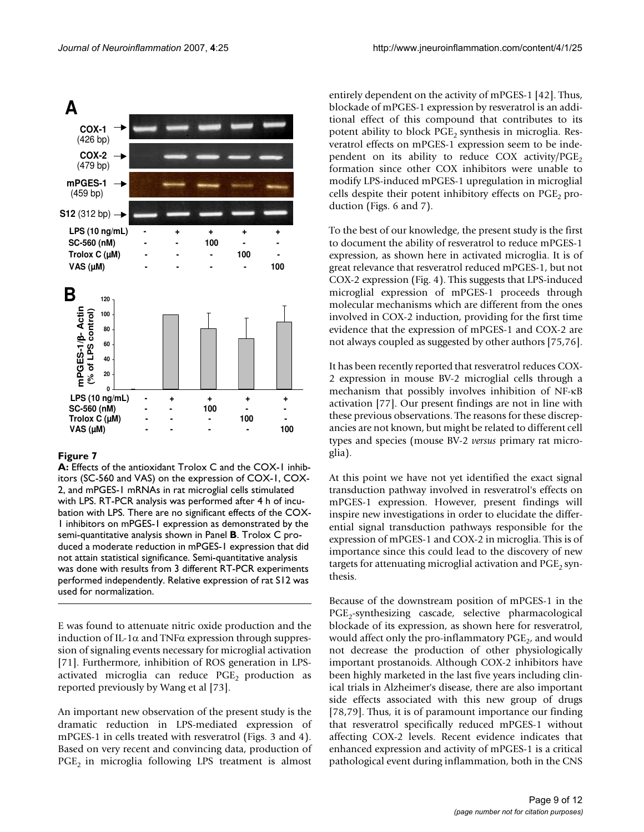

# Figure 7

**A:** Effects of the antioxidant Trolox C and the COX-1 inhibitors (SC-560 and VAS) on the expression of COX-1, COX-2, and mPGES-1 mRNAs in rat microglial cells stimulated with LPS. RT-PCR analysis was performed after 4 h of incubation with LPS. There are no significant effects of the COX-1 inhibitors on mPGES-1 expression as demonstrated by the semi-quantitative analysis shown in Panel **B**. Trolox C produced a moderate reduction in mPGES-1 expression that did not attain statistical significance. Semi-quantitative analysis was done with results from 3 different RT-PCR experiments performed independently. Relative expression of rat S12 was used for normalization.

E was found to attenuate nitric oxide production and the induction of IL-1 $\alpha$  and TNF $\alpha$  expression through suppression of signaling events necessary for microglial activation [71]. Furthermore, inhibition of ROS generation in LPSactivated microglia can reduce  $PGE<sub>2</sub>$  production as reported previously by Wang et al [73].

An important new observation of the present study is the dramatic reduction in LPS-mediated expression of mPGES-1 in cells treated with resveratrol (Figs. 3 and 4). Based on very recent and convincing data, production of  $PGE<sub>2</sub>$  in microglia following LPS treatment is almost

entirely dependent on the activity of mPGES-1 [42]. Thus, blockade of mPGES-1 expression by resveratrol is an additional effect of this compound that contributes to its potent ability to block PGE<sub>2</sub> synthesis in microglia. Resveratrol effects on mPGES-1 expression seem to be independent on its ability to reduce COX activity/ $PGE<sub>2</sub>$ formation since other COX inhibitors were unable to modify LPS-induced mPGES-1 upregulation in microglial cells despite their potent inhibitory effects on  $PGE<sub>2</sub>$  production (Figs. 6 and 7).

To the best of our knowledge, the present study is the first to document the ability of resveratrol to reduce mPGES-1 expression, as shown here in activated microglia. It is of great relevance that resveratrol reduced mPGES-1, but not COX-2 expression (Fig. 4). This suggests that LPS-induced microglial expression of mPGES-1 proceeds through molecular mechanisms which are different from the ones involved in COX-2 induction, providing for the first time evidence that the expression of mPGES-1 and COX-2 are not always coupled as suggested by other authors [75,76].

It has been recently reported that resveratrol reduces COX-2 expression in mouse BV-2 microglial cells through a mechanism that possibly involves inhibition of NF-κB activation [77]. Our present findings are not in line with these previous observations. The reasons for these discrepancies are not known, but might be related to different cell types and species (mouse BV-2 *versus* primary rat microglia).

At this point we have not yet identified the exact signal transduction pathway involved in resveratrol's effects on mPGES-1 expression. However, present findings will inspire new investigations in order to elucidate the differential signal transduction pathways responsible for the expression of mPGES-1 and COX-2 in microglia. This is of importance since this could lead to the discovery of new targets for attenuating microglial activation and  $PGE<sub>2</sub>$  synthesis.

Because of the downstream position of mPGES-1 in the PGE<sub>2</sub>-synthesizing cascade, selective pharmacological blockade of its expression, as shown here for resveratrol, would affect only the pro-inflammatory  $PGE<sub>2</sub>$ , and would not decrease the production of other physiologically important prostanoids. Although COX-2 inhibitors have been highly marketed in the last five years including clinical trials in Alzheimer's disease, there are also important side effects associated with this new group of drugs [78,79]. Thus, it is of paramount importance our finding that resveratrol specifically reduced mPGES-1 without affecting COX-2 levels. Recent evidence indicates that enhanced expression and activity of mPGES-1 is a critical pathological event during inflammation, both in the CNS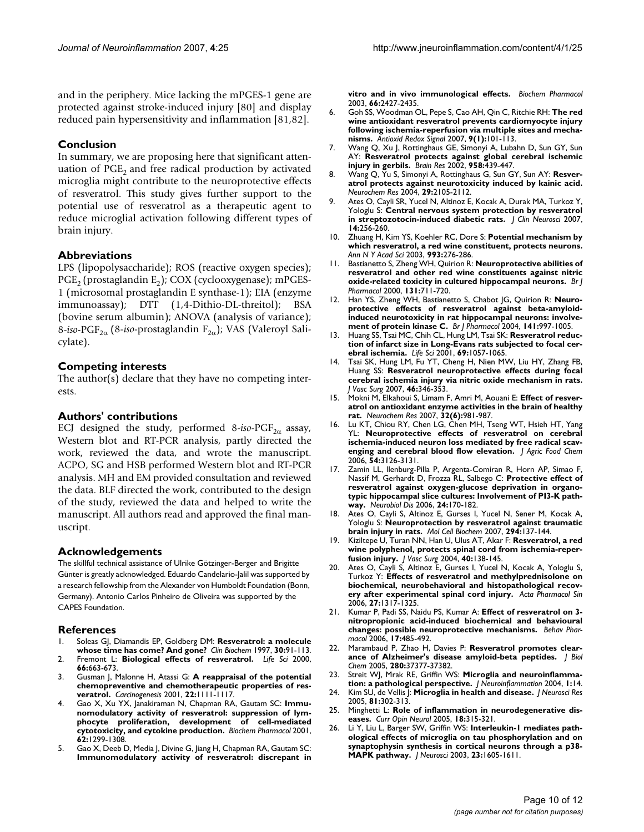and in the periphery. Mice lacking the mPGES-1 gene are protected against stroke-induced injury [80] and display reduced pain hypersensitivity and inflammation [81,82].

# **Conclusion**

In summary, we are proposing here that significant attenuation of  $PGE<sub>2</sub>$  and free radical production by activated microglia might contribute to the neuroprotective effects of resveratrol. This study gives further support to the potential use of resveratrol as a therapeutic agent to reduce microglial activation following different types of brain injury.

# **Abbreviations**

LPS (lipopolysaccharide); ROS (reactive oxygen species);  $PGE_2$  (prostaglandin E<sub>2</sub>); COX (cyclooxygenase); mPGES-1 (microsomal prostaglandin E synthase-1); EIA (enzyme immunoassay); DTT (1,4-Dithio-DL-threitol); BSA (bovine serum albumin); ANOVA (analysis of variance); 8-*iso*-PGF<sub>2α</sub> (8-*iso*-prostaglandin F<sub>2α</sub>); VAS (Valeroyl Salicylate).

# **Competing interests**

The author(s) declare that they have no competing interests.

### **Authors' contributions**

ECJ designed the study, performed  $8$ -iso-PGF<sub>2 $\alpha$ </sub> assay, Western blot and RT-PCR analysis, partly directed the work, reviewed the data, and wrote the manuscript. ACPO, SG and HSB performed Western blot and RT-PCR analysis. MH and EM provided consultation and reviewed the data. BLF directed the work, contributed to the design of the study, reviewed the data and helped to write the manuscript. All authors read and approved the final manuscript.

### **Acknowledgements**

The skillful technical assistance of Ulrike Götzinger-Berger and Brigitte Günter is greatly acknowledged. Eduardo Candelario-Jalil was supported by a research fellowship from the Alexander von Humboldt Foundation (Bonn, Germany). Antonio Carlos Pinheiro de Oliveira was supported by the CAPES Foundation.

### **References**

- 1. Soleas GJ, Diamandis EP, Goldberg DM: **[Resveratrol: a molecule](http://www.ncbi.nlm.nih.gov/entrez/query.fcgi?cmd=Retrieve&db=PubMed&dopt=Abstract&list_uids=9127691) [whose time has come? And gone?](http://www.ncbi.nlm.nih.gov/entrez/query.fcgi?cmd=Retrieve&db=PubMed&dopt=Abstract&list_uids=9127691)** *Clin Biochem* 1997, **30:**91-113.
- 2. Fremont L: **[Biological effects of resveratrol.](http://www.ncbi.nlm.nih.gov/entrez/query.fcgi?cmd=Retrieve&db=PubMed&dopt=Abstract&list_uids=10680575)** *Life Sci* 2000, **66:**663-673.
- 3. Gusman J, Malonne H, Atassi G: **[A reappraisal of the potential](http://www.ncbi.nlm.nih.gov/entrez/query.fcgi?cmd=Retrieve&db=PubMed&dopt=Abstract&list_uids=11470738) [chemopreventive and chemotherapeutic properties of res](http://www.ncbi.nlm.nih.gov/entrez/query.fcgi?cmd=Retrieve&db=PubMed&dopt=Abstract&list_uids=11470738)[veratrol.](http://www.ncbi.nlm.nih.gov/entrez/query.fcgi?cmd=Retrieve&db=PubMed&dopt=Abstract&list_uids=11470738)** *Carcinogenesis* 2001, **22:**1111-1117.
- 4. Gao X, Xu YX, Janakiraman N, Chapman RA, Gautam SC: **[Immu](http://www.ncbi.nlm.nih.gov/entrez/query.fcgi?cmd=Retrieve&db=PubMed&dopt=Abstract&list_uids=11705464)nomodulatory activity of resveratrol: suppression of lym[phocyte proliferation, development of cell-mediated](http://www.ncbi.nlm.nih.gov/entrez/query.fcgi?cmd=Retrieve&db=PubMed&dopt=Abstract&list_uids=11705464) [cytotoxicity, and cytokine production.](http://www.ncbi.nlm.nih.gov/entrez/query.fcgi?cmd=Retrieve&db=PubMed&dopt=Abstract&list_uids=11705464)** *Biochem Pharmacol* 2001, **62:**1299-1308.
- 5. Gao X, Deeb D, Media J, Divine G, Jiang H, Chapman RA, Gautam SC: **[Immunomodulatory activity of resveratrol: discrepant in](http://www.ncbi.nlm.nih.gov/entrez/query.fcgi?cmd=Retrieve&db=PubMed&dopt=Abstract&list_uids=14637200)**

**[vitro and in vivo immunological effects.](http://www.ncbi.nlm.nih.gov/entrez/query.fcgi?cmd=Retrieve&db=PubMed&dopt=Abstract&list_uids=14637200)** *Biochem Pharmacol* 2003, **66:**2427-2435.

- 6. Goh SS, Woodman OL, Pepe S, Cao AH, Qin C, Ritchie RH: **[The red](http://www.ncbi.nlm.nih.gov/entrez/query.fcgi?cmd=Retrieve&db=PubMed&dopt=Abstract&list_uids=17115889) wine antioxidant resveratrol prevents cardiomyocyte injury [following ischemia-reperfusion via multiple sites and mecha](http://www.ncbi.nlm.nih.gov/entrez/query.fcgi?cmd=Retrieve&db=PubMed&dopt=Abstract&list_uids=17115889)[nisms.](http://www.ncbi.nlm.nih.gov/entrez/query.fcgi?cmd=Retrieve&db=PubMed&dopt=Abstract&list_uids=17115889)** *Antioxid Redox Signal* 2007, **9(1):**101-113.
- 7. Wang Q, Xu J, Rottinghaus GE, Simonyi A, Lubahn D, Sun GY, Sun AY: **[Resveratrol protects against global cerebral ischemic](http://www.ncbi.nlm.nih.gov/entrez/query.fcgi?cmd=Retrieve&db=PubMed&dopt=Abstract&list_uids=12470882) [injury in gerbils.](http://www.ncbi.nlm.nih.gov/entrez/query.fcgi?cmd=Retrieve&db=PubMed&dopt=Abstract&list_uids=12470882)** *Brain Res* 2002, **958:**439-447.
- 8. Wang Q, Yu S, Simonyi A, Rottinghaus G, Sun GY, Sun AY: **[Resver](http://www.ncbi.nlm.nih.gov/entrez/query.fcgi?cmd=Retrieve&db=PubMed&dopt=Abstract&list_uids=15662844)[atrol protects against neurotoxicity induced by kainic acid.](http://www.ncbi.nlm.nih.gov/entrez/query.fcgi?cmd=Retrieve&db=PubMed&dopt=Abstract&list_uids=15662844)** *Neurochem Res* 2004, **29:**2105-2112.
- 9. Ates O, Cayli SR, Yucel N, Altinoz E, Kocak A, Durak MA, Turkoz Y, Yologlu S: **[Central nervous system protection by resveratrol](http://www.ncbi.nlm.nih.gov/entrez/query.fcgi?cmd=Retrieve&db=PubMed&dopt=Abstract&list_uids=17258134) [in streptozotocin-induced diabetic rats.](http://www.ncbi.nlm.nih.gov/entrez/query.fcgi?cmd=Retrieve&db=PubMed&dopt=Abstract&list_uids=17258134)** *J Clin Neurosci* 2007, **14:**256-260.
- 10. Zhuang H, Kim YS, Koehler RC, Dore S: **[Potential mechanism by](http://www.ncbi.nlm.nih.gov/entrez/query.fcgi?cmd=Retrieve&db=PubMed&dopt=Abstract&list_uids=12853318) [which resveratrol, a red wine constituent, protects neurons.](http://www.ncbi.nlm.nih.gov/entrez/query.fcgi?cmd=Retrieve&db=PubMed&dopt=Abstract&list_uids=12853318)** *Ann N Y Acad Sci* 2003, **993:**276-286.
- 11. Bastianetto S, Zheng WH, Quirion R: **[Neuroprotective abilities of](http://www.ncbi.nlm.nih.gov/entrez/query.fcgi?cmd=Retrieve&db=PubMed&dopt=Abstract&list_uids=11030720) [resveratrol and other red wine constituents against nitric](http://www.ncbi.nlm.nih.gov/entrez/query.fcgi?cmd=Retrieve&db=PubMed&dopt=Abstract&list_uids=11030720) [oxide-related toxicity in cultured hippocampal neurons.](http://www.ncbi.nlm.nih.gov/entrez/query.fcgi?cmd=Retrieve&db=PubMed&dopt=Abstract&list_uids=11030720)** *Br J Pharmacol* 2000, **131:**711-720.
- 12. Han YS, Zheng WH, Bastianetto S, Chabot JG, Quirion R: **[Neuro](http://www.ncbi.nlm.nih.gov/entrez/query.fcgi?cmd=Retrieve&db=PubMed&dopt=Abstract&list_uids=15028639)protective effects of resveratrol against beta-amyloid[induced neurotoxicity in rat hippocampal neurons: involve](http://www.ncbi.nlm.nih.gov/entrez/query.fcgi?cmd=Retrieve&db=PubMed&dopt=Abstract&list_uids=15028639)[ment of protein kinase C.](http://www.ncbi.nlm.nih.gov/entrez/query.fcgi?cmd=Retrieve&db=PubMed&dopt=Abstract&list_uids=15028639)** *Br J Pharmacol* 2004, **141:**997-1005.
- 13. Huang SS, Tsai MC, Chih CL, Hung LM, Tsai SK: **[Resveratrol reduc](http://www.ncbi.nlm.nih.gov/entrez/query.fcgi?cmd=Retrieve&db=PubMed&dopt=Abstract&list_uids=11508648)[tion of infarct size in Long-Evans rats subjected to focal cer](http://www.ncbi.nlm.nih.gov/entrez/query.fcgi?cmd=Retrieve&db=PubMed&dopt=Abstract&list_uids=11508648)[ebral ischemia.](http://www.ncbi.nlm.nih.gov/entrez/query.fcgi?cmd=Retrieve&db=PubMed&dopt=Abstract&list_uids=11508648)** *Life Sci* 2001, **69:**1057-1065.
- 14. Tsai SK, Hung LM, Fu YT, Cheng H, Nien MW, Liu HY, Zhang FB, Huang SS: **[Resveratrol neuroprotective effects during focal](http://www.ncbi.nlm.nih.gov/entrez/query.fcgi?cmd=Retrieve&db=PubMed&dopt=Abstract&list_uids=17600658) [cerebral ischemia injury via nitric oxide mechanism in rats.](http://www.ncbi.nlm.nih.gov/entrez/query.fcgi?cmd=Retrieve&db=PubMed&dopt=Abstract&list_uids=17600658)** *J Vasc Surg* 2007, **46:**346-353.
- 15. Mokni M, Elkahoui S, Limam F, Amri M, Aouani E: **[Effect of resver](http://www.ncbi.nlm.nih.gov/entrez/query.fcgi?cmd=Retrieve&db=PubMed&dopt=Abstract&list_uids=17401679)[atrol on antioxidant enzyme activities in the brain of healthy](http://www.ncbi.nlm.nih.gov/entrez/query.fcgi?cmd=Retrieve&db=PubMed&dopt=Abstract&list_uids=17401679) [rat.](http://www.ncbi.nlm.nih.gov/entrez/query.fcgi?cmd=Retrieve&db=PubMed&dopt=Abstract&list_uids=17401679)** *Neurochem Res* 2007, **32(6):**981-987.
- 16. Lu KT, Chiou RY, Chen LG, Chen MH, Tseng WT, Hsieh HT, Yang YL: **[Neuroprotective effects of resveratrol on cerebral](http://www.ncbi.nlm.nih.gov/entrez/query.fcgi?cmd=Retrieve&db=PubMed&dopt=Abstract&list_uids=16608241) [ischemia-induced neuron loss mediated by free radical scav](http://www.ncbi.nlm.nih.gov/entrez/query.fcgi?cmd=Retrieve&db=PubMed&dopt=Abstract&list_uids=16608241)[enging and cerebral blood flow elevation.](http://www.ncbi.nlm.nih.gov/entrez/query.fcgi?cmd=Retrieve&db=PubMed&dopt=Abstract&list_uids=16608241)** *J Agric Food Chem* 2006, **54:**3126-3131.
- 17. Zamin LL, llenburg-Pilla P, Argenta-Comiran R, Horn AP, Simao F, Nassif M, Gerhardt D, Frozza RL, Salbego C: **[Protective effect of](http://www.ncbi.nlm.nih.gov/entrez/query.fcgi?cmd=Retrieve&db=PubMed&dopt=Abstract&list_uids=16860989) resveratrol against oxygen-glucose deprivation in organo[typic hippocampal slice cultures: Involvement of PI3-K path](http://www.ncbi.nlm.nih.gov/entrez/query.fcgi?cmd=Retrieve&db=PubMed&dopt=Abstract&list_uids=16860989)[way.](http://www.ncbi.nlm.nih.gov/entrez/query.fcgi?cmd=Retrieve&db=PubMed&dopt=Abstract&list_uids=16860989)** *Neurobiol Dis* 2006, **24:**170-182.
- 18. Ates O, Cayli S, Altinoz E, Gurses I, Yucel N, Sener M, Kocak A, Yologlu S: **[Neuroprotection by resveratrol against traumatic](http://www.ncbi.nlm.nih.gov/entrez/query.fcgi?cmd=Retrieve&db=PubMed&dopt=Abstract&list_uids=16924419) [brain injury in rats.](http://www.ncbi.nlm.nih.gov/entrez/query.fcgi?cmd=Retrieve&db=PubMed&dopt=Abstract&list_uids=16924419)** *Mol Cell Biochem* 2007, **294:**137-144.
- 19. Kiziltepe U, Turan NN, Han U, Ulus AT, Akar F: **[Resveratrol, a red](http://www.ncbi.nlm.nih.gov/entrez/query.fcgi?cmd=Retrieve&db=PubMed&dopt=Abstract&list_uids=15218474) [wine polyphenol, protects spinal cord from ischemia-reper](http://www.ncbi.nlm.nih.gov/entrez/query.fcgi?cmd=Retrieve&db=PubMed&dopt=Abstract&list_uids=15218474)[fusion injury.](http://www.ncbi.nlm.nih.gov/entrez/query.fcgi?cmd=Retrieve&db=PubMed&dopt=Abstract&list_uids=15218474)** *J Vasc Surg* 2004, **40:**138-145.
- 20. Ates O, Cayli S, Altinoz E, Gurses I, Yucel N, Kocak A, Yologlu S, Turkoz Y: **[Effects of resveratrol and methylprednisolone on](http://www.ncbi.nlm.nih.gov/entrez/query.fcgi?cmd=Retrieve&db=PubMed&dopt=Abstract&list_uids=17007738) [biochemical, neurobehavioral and histopathological recov](http://www.ncbi.nlm.nih.gov/entrez/query.fcgi?cmd=Retrieve&db=PubMed&dopt=Abstract&list_uids=17007738)[ery after experimental spinal cord injury.](http://www.ncbi.nlm.nih.gov/entrez/query.fcgi?cmd=Retrieve&db=PubMed&dopt=Abstract&list_uids=17007738)** *Acta Pharmacol Sin* 2006, **27:**1317-1325.
- 21. Kumar P, Padi SS, Naidu PS, Kumar A: **[Effect of resveratrol on 3](http://www.ncbi.nlm.nih.gov/entrez/query.fcgi?cmd=Retrieve&db=PubMed&dopt=Abstract&list_uids=16940769) [nitropropionic acid-induced biochemical and behavioural](http://www.ncbi.nlm.nih.gov/entrez/query.fcgi?cmd=Retrieve&db=PubMed&dopt=Abstract&list_uids=16940769) [changes: possible neuroprotective mechanisms.](http://www.ncbi.nlm.nih.gov/entrez/query.fcgi?cmd=Retrieve&db=PubMed&dopt=Abstract&list_uids=16940769)** *Behav Pharmacol* 2006, **17:**485-492.
- 22. Marambaud P, Zhao H, Davies P: **[Resveratrol promotes clear](http://www.ncbi.nlm.nih.gov/entrez/query.fcgi?cmd=Retrieve&db=PubMed&dopt=Abstract&list_uids=16162502)[ance of Alzheimer's disease amyloid-beta peptides.](http://www.ncbi.nlm.nih.gov/entrez/query.fcgi?cmd=Retrieve&db=PubMed&dopt=Abstract&list_uids=16162502)** *J Biol Chem* 2005, **280:**37377-37382.
- 23. Streit WJ, Mrak RE, Griffin WS: **[Microglia and neuroinflamma](http://www.ncbi.nlm.nih.gov/entrez/query.fcgi?cmd=Retrieve&db=PubMed&dopt=Abstract&list_uids=15285801)[tion: a pathological perspective.](http://www.ncbi.nlm.nih.gov/entrez/query.fcgi?cmd=Retrieve&db=PubMed&dopt=Abstract&list_uids=15285801)** *J Neuroinflammation* 2004, **1:**14.
- 24. Kim SU, de Vellis J: **[Microglia in health and disease.](http://www.ncbi.nlm.nih.gov/entrez/query.fcgi?cmd=Retrieve&db=PubMed&dopt=Abstract&list_uids=15954124)** *J Neurosci Res* 2005, **81:**302-313.
- 25. Minghetti L: **[Role of inflammation in neurodegenerative dis](http://www.ncbi.nlm.nih.gov/entrez/query.fcgi?cmd=Retrieve&db=PubMed&dopt=Abstract&list_uids=15891419)[eases.](http://www.ncbi.nlm.nih.gov/entrez/query.fcgi?cmd=Retrieve&db=PubMed&dopt=Abstract&list_uids=15891419)** *Curr Opin Neurol* 2005, **18:**315-321.
- 26. Li Y, Liu L, Barger SW, Griffin WS: **[Interleukin-1 mediates path](http://www.ncbi.nlm.nih.gov/entrez/query.fcgi?cmd=Retrieve&db=PubMed&dopt=Abstract&list_uids=12629164)ological effects of microglia on tau phosphorylation and on [synaptophysin synthesis in cortical neurons through a p38-](http://www.ncbi.nlm.nih.gov/entrez/query.fcgi?cmd=Retrieve&db=PubMed&dopt=Abstract&list_uids=12629164) [MAPK pathway.](http://www.ncbi.nlm.nih.gov/entrez/query.fcgi?cmd=Retrieve&db=PubMed&dopt=Abstract&list_uids=12629164)** *J Neurosci* 2003, **23:**1605-1611.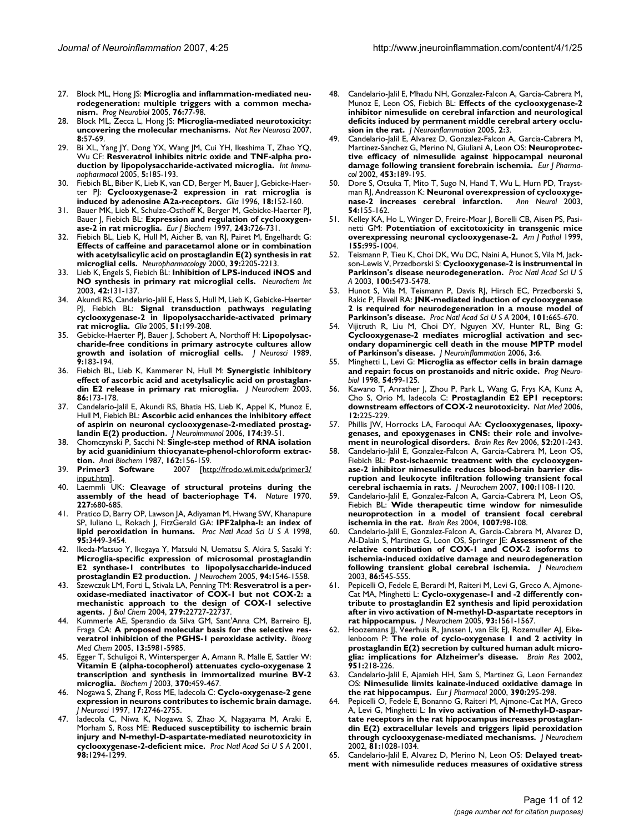- 27. Block ML, Hong JS: **[Microglia and inflammation-mediated neu](http://www.ncbi.nlm.nih.gov/entrez/query.fcgi?cmd=Retrieve&db=PubMed&dopt=Abstract&list_uids=16081203)[rodegeneration: multiple triggers with a common mecha](http://www.ncbi.nlm.nih.gov/entrez/query.fcgi?cmd=Retrieve&db=PubMed&dopt=Abstract&list_uids=16081203)[nism.](http://www.ncbi.nlm.nih.gov/entrez/query.fcgi?cmd=Retrieve&db=PubMed&dopt=Abstract&list_uids=16081203)** *Prog Neurobiol* 2005, **76:**77-98.
- 28. Block ML, Zecca L, Hong JS: **[Microglia-mediated neurotoxicity:](http://www.ncbi.nlm.nih.gov/entrez/query.fcgi?cmd=Retrieve&db=PubMed&dopt=Abstract&list_uids=17180163) [uncovering the molecular mechanisms.](http://www.ncbi.nlm.nih.gov/entrez/query.fcgi?cmd=Retrieve&db=PubMed&dopt=Abstract&list_uids=17180163)** *Nat Rev Neurosci* 2007, **8:**57-69.
- 29. Bi XL, Yang JY, Dong YX, Wang JM, Cui YH, Ikeshima T, Zhao YQ, Wu CF: **[Resveratrol inhibits nitric oxide and TNF-alpha pro](http://www.ncbi.nlm.nih.gov/entrez/query.fcgi?cmd=Retrieve&db=PubMed&dopt=Abstract&list_uids=15589480)[duction by lipopolysaccharide-activated microglia.](http://www.ncbi.nlm.nih.gov/entrez/query.fcgi?cmd=Retrieve&db=PubMed&dopt=Abstract&list_uids=15589480)** *Int Immunopharmacol* 2005, **5:**185-193.
- 30. Fiebich BL, Biber K, Lieb K, van CD, Berger M, Bauer J, Gebicke-Haerter PJ: **[Cyclooxygenase-2 expression in rat microglia is](http://www.ncbi.nlm.nih.gov/entrez/query.fcgi?cmd=Retrieve&db=PubMed&dopt=Abstract&list_uids=8913778) [induced by adenosine A2a-receptors.](http://www.ncbi.nlm.nih.gov/entrez/query.fcgi?cmd=Retrieve&db=PubMed&dopt=Abstract&list_uids=8913778)** *Glia* 1996, **18:**152-160.
- Bauer MK, Lieb K, Schulze-Osthoff K, Berger M, Gebicke-Haerter PJ, Bauer J, Fiebich BL: **[Expression and regulation of cyclooxygen](http://www.ncbi.nlm.nih.gov/entrez/query.fcgi?cmd=Retrieve&db=PubMed&dopt=Abstract&list_uids=9057838)[ase-2 in rat microglia.](http://www.ncbi.nlm.nih.gov/entrez/query.fcgi?cmd=Retrieve&db=PubMed&dopt=Abstract&list_uids=9057838)** *Eur J Biochem* 1997, **243:**726-731.
- 32. Fiebich BL, Lieb K, Hull M, Aicher B, van RJ, Pairet M, Engelhardt G: **Effects of caffeine and paracetamol alone or in combination [with acetylsalicylic acid on prostaglandin E\(2\) synthesis in rat](http://www.ncbi.nlm.nih.gov/entrez/query.fcgi?cmd=Retrieve&db=PubMed&dopt=Abstract&list_uids=10963764) [microglial cells.](http://www.ncbi.nlm.nih.gov/entrez/query.fcgi?cmd=Retrieve&db=PubMed&dopt=Abstract&list_uids=10963764)** *Neuropharmacology* 2000, **39:**2205-2213.
- 33. Lieb K, Engels S, Fiebich BL: **[Inhibition of LPS-induced iNOS and](http://www.ncbi.nlm.nih.gov/entrez/query.fcgi?cmd=Retrieve&db=PubMed&dopt=Abstract&list_uids=12421593) [NO synthesis in primary rat microglial cells.](http://www.ncbi.nlm.nih.gov/entrez/query.fcgi?cmd=Retrieve&db=PubMed&dopt=Abstract&list_uids=12421593)** *Neurochem Int* 2003, **42:**131-137.
- 34. Akundi RS, Candelario-Jalil E, Hess S, Hull M, Lieb K, Gebicke-Haerter PJ, Fiebich BL: **[Signal transduction pathways regulating](http://www.ncbi.nlm.nih.gov/entrez/query.fcgi?cmd=Retrieve&db=PubMed&dopt=Abstract&list_uids=15800925) [cyclooxygenase-2 in lipopolysaccharide-activated primary](http://www.ncbi.nlm.nih.gov/entrez/query.fcgi?cmd=Retrieve&db=PubMed&dopt=Abstract&list_uids=15800925) [rat microglia.](http://www.ncbi.nlm.nih.gov/entrez/query.fcgi?cmd=Retrieve&db=PubMed&dopt=Abstract&list_uids=15800925)** *Glia* 2005, **51:**199-208.
- 35. Gebicke-Haerter PJ, Bauer J, Schobert A, Northoff H: **[Lipopolysac](http://www.ncbi.nlm.nih.gov/entrez/query.fcgi?cmd=Retrieve&db=PubMed&dopt=Abstract&list_uids=2643682)[charide-free conditions in primary astrocyte cultures allow](http://www.ncbi.nlm.nih.gov/entrez/query.fcgi?cmd=Retrieve&db=PubMed&dopt=Abstract&list_uids=2643682) [growth and isolation of microglial cells.](http://www.ncbi.nlm.nih.gov/entrez/query.fcgi?cmd=Retrieve&db=PubMed&dopt=Abstract&list_uids=2643682)** *J Neurosci* 1989, **9:**183-194.
- 36. Fiebich BL, Lieb K, Kammerer N, Hull M: **[Synergistic inhibitory](http://www.ncbi.nlm.nih.gov/entrez/query.fcgi?cmd=Retrieve&db=PubMed&dopt=Abstract&list_uids=12807437) [effect of ascorbic acid and acetylsalicylic acid on prostaglan](http://www.ncbi.nlm.nih.gov/entrez/query.fcgi?cmd=Retrieve&db=PubMed&dopt=Abstract&list_uids=12807437)[din E2 release in primary rat microglia.](http://www.ncbi.nlm.nih.gov/entrez/query.fcgi?cmd=Retrieve&db=PubMed&dopt=Abstract&list_uids=12807437)** *J Neurochem* 2003, **86:**173-178.
- Candelario-Jalil E, Akundi RS, Bhatia HS, Lieb K, Appel K, Munoz E, Hull M, Fiebich BL: **[Ascorbic acid enhances the inhibitory effect](http://www.ncbi.nlm.nih.gov/entrez/query.fcgi?cmd=Retrieve&db=PubMed&dopt=Abstract&list_uids=16529823) [of aspirin on neuronal cyclooxygenase-2-mediated prostag](http://www.ncbi.nlm.nih.gov/entrez/query.fcgi?cmd=Retrieve&db=PubMed&dopt=Abstract&list_uids=16529823)[landin E\(2\) production.](http://www.ncbi.nlm.nih.gov/entrez/query.fcgi?cmd=Retrieve&db=PubMed&dopt=Abstract&list_uids=16529823)** *J Neuroimmunol* 2006, **174:**39-51.
- 38. Chomczynski P, Sacchi N: **[Single-step method of RNA isolation](http://www.ncbi.nlm.nih.gov/entrez/query.fcgi?cmd=Retrieve&db=PubMed&dopt=Abstract&list_uids=2440339) [by acid guanidinium thiocyanate-phenol-chloroform extrac](http://www.ncbi.nlm.nih.gov/entrez/query.fcgi?cmd=Retrieve&db=PubMed&dopt=Abstract&list_uids=2440339)[tion.](http://www.ncbi.nlm.nih.gov/entrez/query.fcgi?cmd=Retrieve&db=PubMed&dopt=Abstract&list_uids=2440339)** *Anal Biochem* 1987, **162:**156-159.
- [[http://frodo.wi.mit.edu/primer3/](http://frodo.wi.mit.edu/primer3/input.htm) [input.htm](http://frodo.wi.mit.edu/primer3/input.htm)].
- 40. Laemmli UK: **[Cleavage of structural proteins during the](http://www.ncbi.nlm.nih.gov/entrez/query.fcgi?cmd=Retrieve&db=PubMed&dopt=Abstract&list_uids=5432063) [assembly of the head of bacteriophage T4.](http://www.ncbi.nlm.nih.gov/entrez/query.fcgi?cmd=Retrieve&db=PubMed&dopt=Abstract&list_uids=5432063)** *Nature* 1970, **227:**680-685.
- 41. Pratico D, Barry OP, Lawson JA, Adiyaman M, Hwang SW, Khanapure SP, Iuliano L, Rokach J, FitzGerald GA: **[IPF2alpha-I: an index of](http://www.ncbi.nlm.nih.gov/entrez/query.fcgi?cmd=Retrieve&db=PubMed&dopt=Abstract&list_uids=9520386) [lipid peroxidation in humans.](http://www.ncbi.nlm.nih.gov/entrez/query.fcgi?cmd=Retrieve&db=PubMed&dopt=Abstract&list_uids=9520386)** *Proc Natl Acad Sci U S A* 1998, **95:**3449-3454.
- Ikeda-Matsuo Y, Ikegaya Y, Matsuki N, Uematsu S, Akira S, Sasaki Y: **Microglia-specific expression of microsomal prostaglandin [E2 synthase-1 contributes to lipopolysaccharide-induced](http://www.ncbi.nlm.nih.gov/entrez/query.fcgi?cmd=Retrieve&db=PubMed&dopt=Abstract&list_uids=16000148) [prostaglandin E2 production.](http://www.ncbi.nlm.nih.gov/entrez/query.fcgi?cmd=Retrieve&db=PubMed&dopt=Abstract&list_uids=16000148)** *J Neurochem* 2005, **94:**1546-1558.
- Szewczuk LM, Forti L, Stivala LA, Penning TM: [Resveratrol is a per](http://www.ncbi.nlm.nih.gov/entrez/query.fcgi?cmd=Retrieve&db=PubMed&dopt=Abstract&list_uids=15020596)**oxidase-mediated inactivator of COX-1 but not COX-2: a [mechanistic approach to the design of COX-1 selective](http://www.ncbi.nlm.nih.gov/entrez/query.fcgi?cmd=Retrieve&db=PubMed&dopt=Abstract&list_uids=15020596) [agents.](http://www.ncbi.nlm.nih.gov/entrez/query.fcgi?cmd=Retrieve&db=PubMed&dopt=Abstract&list_uids=15020596)** *J Biol Chem* 2004, **279:**22727-22737.
- 44. Kummerle AE, Sperandio da Silva GM, Sant'Anna CM, Barreiro EJ, Fraga CA: **[A proposed molecular basis for the selective res](http://www.ncbi.nlm.nih.gov/entrez/query.fcgi?cmd=Retrieve&db=PubMed&dopt=Abstract&list_uids=16099662)[veratrol inhibition of the PGHS-1 peroxidase activity.](http://www.ncbi.nlm.nih.gov/entrez/query.fcgi?cmd=Retrieve&db=PubMed&dopt=Abstract&list_uids=16099662)** *Bioorg Med Chem* 2005, **13:**5981-5985.
- Egger T, Schuligoi R, Wintersperger A, Amann R, Malle E, Sattler W: **Vitamin E (alpha-tocopherol) attenuates cyclo-oxygenase 2 [transcription and synthesis in immortalized murine BV-2](http://www.ncbi.nlm.nih.gov/entrez/query.fcgi?cmd=Retrieve&db=PubMed&dopt=Abstract&list_uids=12429020) [microglia.](http://www.ncbi.nlm.nih.gov/entrez/query.fcgi?cmd=Retrieve&db=PubMed&dopt=Abstract&list_uids=12429020)** *Biochem J* 2003, **370:**459-467.
- 46. Nogawa S, Zhang F, Ross ME, Iadecola C: **[Cyclo-oxygenase-2 gene](http://www.ncbi.nlm.nih.gov/entrez/query.fcgi?cmd=Retrieve&db=PubMed&dopt=Abstract&list_uids=9092596) [expression in neurons contributes to ischemic brain damage.](http://www.ncbi.nlm.nih.gov/entrez/query.fcgi?cmd=Retrieve&db=PubMed&dopt=Abstract&list_uids=9092596)** *J Neurosci* 1997, **17:**2746-2755.
- 47. Iadecola C, Niwa K, Nogawa S, Zhao X, Nagayama M, Araki E, Morham S, Ross ME: **[Reduced susceptibility to ischemic brain](http://www.ncbi.nlm.nih.gov/entrez/query.fcgi?cmd=Retrieve&db=PubMed&dopt=Abstract&list_uids=11158633) [injury and N-methyl-D-aspartate-mediated neurotoxicity in](http://www.ncbi.nlm.nih.gov/entrez/query.fcgi?cmd=Retrieve&db=PubMed&dopt=Abstract&list_uids=11158633) [cyclooxygenase-2-deficient mice.](http://www.ncbi.nlm.nih.gov/entrez/query.fcgi?cmd=Retrieve&db=PubMed&dopt=Abstract&list_uids=11158633)** *Proc Natl Acad Sci U S A* 2001, **98:**1294-1299.
- 48. Candelario-Jalil E, Mhadu NH, Gonzalez-Falcon A, Garcia-Cabrera M, Munoz E, Leon OS, Fiebich BL: **[Effects of the cyclooxygenase-2](http://www.ncbi.nlm.nih.gov/entrez/query.fcgi?cmd=Retrieve&db=PubMed&dopt=Abstract&list_uids=15656909) inhibitor nimesulide on cerebral infarction and neurological [deficits induced by permanent middle cerebral artery occlu](http://www.ncbi.nlm.nih.gov/entrez/query.fcgi?cmd=Retrieve&db=PubMed&dopt=Abstract&list_uids=15656909)[sion in the rat.](http://www.ncbi.nlm.nih.gov/entrez/query.fcgi?cmd=Retrieve&db=PubMed&dopt=Abstract&list_uids=15656909)** *J Neuroinflammation* 2005, **2:**3.
- 49. Candelario-Jalil E, Alvarez D, Gonzalez-Falcon A, Garcia-Cabrera M, Martinez-Sanchez G, Merino N, Giuliani A, Leon OS: **[Neuroprotec](http://www.ncbi.nlm.nih.gov/entrez/query.fcgi?cmd=Retrieve&db=PubMed&dopt=Abstract&list_uids=12398903)[tive efficacy of nimesulide against hippocampal neuronal](http://www.ncbi.nlm.nih.gov/entrez/query.fcgi?cmd=Retrieve&db=PubMed&dopt=Abstract&list_uids=12398903) [damage following transient forebrain ischemia.](http://www.ncbi.nlm.nih.gov/entrez/query.fcgi?cmd=Retrieve&db=PubMed&dopt=Abstract&list_uids=12398903)** *Eur J Pharmacol* 2002, **453:**189-195.
- 50. Dore S, Otsuka T, Mito T, Sugo N, Hand T, Wu L, Hurn PD, Traystman RJ, Andreasson K: **[Neuronal overexpression of cyclooxyge](http://www.ncbi.nlm.nih.gov/entrez/query.fcgi?cmd=Retrieve&db=PubMed&dopt=Abstract&list_uids=12891667)[nase-2 increases cerebral infarction.](http://www.ncbi.nlm.nih.gov/entrez/query.fcgi?cmd=Retrieve&db=PubMed&dopt=Abstract&list_uids=12891667)** *Ann Neurol* 2003, **54:**155-162.
- 51. Kelley KA, Ho L, Winger D, Freire-Moar J, Borelli CB, Aisen PS, Pasinetti GM: **[Potentiation of excitotoxicity in transgenic mice](http://www.ncbi.nlm.nih.gov/entrez/query.fcgi?cmd=Retrieve&db=PubMed&dopt=Abstract&list_uids=10487857) [overexpressing neuronal cyclooxygenase-2.](http://www.ncbi.nlm.nih.gov/entrez/query.fcgi?cmd=Retrieve&db=PubMed&dopt=Abstract&list_uids=10487857)** *Am J Pathol* 1999, **155:**995-1004.
- 52. Teismann P, Tieu K, Choi DK, Wu DC, Naini A, Hunot S, Vila M, Jackson-Lewis V, Przedborski S: **[Cyclooxygenase-2 is instrumental in](http://www.ncbi.nlm.nih.gov/entrez/query.fcgi?cmd=Retrieve&db=PubMed&dopt=Abstract&list_uids=12702778) [Parkinson's disease neurodegeneration.](http://www.ncbi.nlm.nih.gov/entrez/query.fcgi?cmd=Retrieve&db=PubMed&dopt=Abstract&list_uids=12702778)** *Proc Natl Acad Sci U S A* 2003, **100:**5473-5478.
- 53. Hunot S, Vila M, Teismann P, Davis RJ, Hirsch EC, Przedborski S, Rakic P, Flavell RA: **[JNK-mediated induction of cyclooxygenase](http://www.ncbi.nlm.nih.gov/entrez/query.fcgi?cmd=Retrieve&db=PubMed&dopt=Abstract&list_uids=14704277) [2 is required for neurodegeneration in a mouse model of](http://www.ncbi.nlm.nih.gov/entrez/query.fcgi?cmd=Retrieve&db=PubMed&dopt=Abstract&list_uids=14704277) [Parkinson's disease.](http://www.ncbi.nlm.nih.gov/entrez/query.fcgi?cmd=Retrieve&db=PubMed&dopt=Abstract&list_uids=14704277)** *Proc Natl Acad Sci U S A* 2004, **101:**665-670.
- Vijitruth R, Liu M, Choi DY, Nguyen XV, Hunter RL, Bing G: **Cyclooxygenase-2 mediates microglial activation and sec[ondary dopaminergic cell death in the mouse MPTP model](http://www.ncbi.nlm.nih.gov/entrez/query.fcgi?cmd=Retrieve&db=PubMed&dopt=Abstract&list_uids=16566823) [of Parkinson's disease.](http://www.ncbi.nlm.nih.gov/entrez/query.fcgi?cmd=Retrieve&db=PubMed&dopt=Abstract&list_uids=16566823)** *J Neuroinflammation* 2006, **3:**6.
- 55. Minghetti L, Levi G: **[Microglia as effector cells in brain damage](http://www.ncbi.nlm.nih.gov/entrez/query.fcgi?cmd=Retrieve&db=PubMed&dopt=Abstract&list_uids=9460796) [and repair: focus on prostanoids and nitric oxide.](http://www.ncbi.nlm.nih.gov/entrez/query.fcgi?cmd=Retrieve&db=PubMed&dopt=Abstract&list_uids=9460796)** *Prog Neurobiol* 1998, **54:**99-125.
- 56. Kawano T, Anrather J, Zhou P, Park L, Wang G, Frys KA, Kunz A, Cho S, Orio M, Iadecola C: **[Prostaglandin E2 EP1 receptors:](http://www.ncbi.nlm.nih.gov/entrez/query.fcgi?cmd=Retrieve&db=PubMed&dopt=Abstract&list_uids=16432513) [downstream effectors of COX-2 neurotoxicity.](http://www.ncbi.nlm.nih.gov/entrez/query.fcgi?cmd=Retrieve&db=PubMed&dopt=Abstract&list_uids=16432513)** *Nat Med* 2006, **12:**225-229.
- 57. Phillis JW, Horrocks LA, Farooqui AA: **[Cyclooxygenases, lipoxy](http://www.ncbi.nlm.nih.gov/entrez/query.fcgi?cmd=Retrieve&db=PubMed&dopt=Abstract&list_uids=16647138)[genases, and epoxygenases in CNS: their role and involve](http://www.ncbi.nlm.nih.gov/entrez/query.fcgi?cmd=Retrieve&db=PubMed&dopt=Abstract&list_uids=16647138)[ment in neurological disorders.](http://www.ncbi.nlm.nih.gov/entrez/query.fcgi?cmd=Retrieve&db=PubMed&dopt=Abstract&list_uids=16647138)** *Brain Res Rev* 2006, **52:**201-243.
- Candelario-Jalil E, Gonzalez-Falcon A, Garcia-Cabrera M, Leon OS, Fiebich BL: **[Post-ischaemic treatment with the cyclooxygen](http://www.ncbi.nlm.nih.gov/entrez/query.fcgi?cmd=Retrieve&db=PubMed&dopt=Abstract&list_uids=17176264)ase-2 inhibitor nimesulide reduces blood-brain barrier dis[ruption and leukocyte infiltration following transient focal](http://www.ncbi.nlm.nih.gov/entrez/query.fcgi?cmd=Retrieve&db=PubMed&dopt=Abstract&list_uids=17176264) [cerebral ischaemia in rats.](http://www.ncbi.nlm.nih.gov/entrez/query.fcgi?cmd=Retrieve&db=PubMed&dopt=Abstract&list_uids=17176264)** *J Neurochem* 2007, **100:**1108-1120.
- Candelario-Jalil E, Gonzalez-Falcon A, Garcia-Cabrera M, Leon OS, Fiebich BL: **[Wide therapeutic time window for nimesulide](http://www.ncbi.nlm.nih.gov/entrez/query.fcgi?cmd=Retrieve&db=PubMed&dopt=Abstract&list_uids=15064140) [neuroprotection in a model of transient focal cerebral](http://www.ncbi.nlm.nih.gov/entrez/query.fcgi?cmd=Retrieve&db=PubMed&dopt=Abstract&list_uids=15064140) [ischemia in the rat.](http://www.ncbi.nlm.nih.gov/entrez/query.fcgi?cmd=Retrieve&db=PubMed&dopt=Abstract&list_uids=15064140)** *Brain Res* 2004, **1007:**98-108.
- 60. Candelario-Jalil E, Gonzalez-Falcon A, Garcia-Cabrera M, Alvarez D, Al-Dalain S, Martinez G, Leon OS, Springer JE: **[Assessment of the](http://www.ncbi.nlm.nih.gov/entrez/query.fcgi?cmd=Retrieve&db=PubMed&dopt=Abstract&list_uids=12859668) relative contribution of COX-1 and COX-2 isoforms to [ischemia-induced oxidative damage and neurodegeneration](http://www.ncbi.nlm.nih.gov/entrez/query.fcgi?cmd=Retrieve&db=PubMed&dopt=Abstract&list_uids=12859668) [following transient global cerebral ischemia.](http://www.ncbi.nlm.nih.gov/entrez/query.fcgi?cmd=Retrieve&db=PubMed&dopt=Abstract&list_uids=12859668)** *J Neurochem* 2003, **86:**545-555.
- 61. Pepicelli O, Fedele E, Berardi M, Raiteri M, Levi G, Greco A, Ajmone-Cat MA, Minghetti L: **[Cyclo-oxygenase-1 and -2 differently con](http://www.ncbi.nlm.nih.gov/entrez/query.fcgi?cmd=Retrieve&db=PubMed&dopt=Abstract&list_uids=15935072)tribute to prostaglandin E2 synthesis and lipid peroxidation [after in vivo activation of N-methyl-D-aspartate receptors in](http://www.ncbi.nlm.nih.gov/entrez/query.fcgi?cmd=Retrieve&db=PubMed&dopt=Abstract&list_uids=15935072) [rat hippocampus.](http://www.ncbi.nlm.nih.gov/entrez/query.fcgi?cmd=Retrieve&db=PubMed&dopt=Abstract&list_uids=15935072)** *J Neurochem* 2005, **93:**1561-1567.
- 62. Hoozemans JJ, Veerhuis R, Janssen I, van Elk EJ, Rozemuller AJ, Eikelenboom P: **[The role of cyclo-oxygenase 1 and 2 activity in](http://www.ncbi.nlm.nih.gov/entrez/query.fcgi?cmd=Retrieve&db=PubMed&dopt=Abstract&list_uids=12270500) [prostaglandin E\(2\) secretion by cultured human adult micro](http://www.ncbi.nlm.nih.gov/entrez/query.fcgi?cmd=Retrieve&db=PubMed&dopt=Abstract&list_uids=12270500)[glia: implications for Alzheimer's disease.](http://www.ncbi.nlm.nih.gov/entrez/query.fcgi?cmd=Retrieve&db=PubMed&dopt=Abstract&list_uids=12270500)** *Brain Res* 2002, **951:**218-226.
- Candelario-Jalil E, Ajamieh HH, Sam S, Martinez G, Leon Fernandez OS: **[Nimesulide limits kainate-induced oxidative damage in](http://www.ncbi.nlm.nih.gov/entrez/query.fcgi?cmd=Retrieve&db=PubMed&dopt=Abstract&list_uids=10708736) [the rat hippocampus.](http://www.ncbi.nlm.nih.gov/entrez/query.fcgi?cmd=Retrieve&db=PubMed&dopt=Abstract&list_uids=10708736)** *Eur J Pharmacol* 2000, **390:**295-298.
- 64. Pepicelli O, Fedele E, Bonanno G, Raiteri M, Ajmone-Cat MA, Greco A, Levi G, Minghetti L: **[In vivo activation of N-methyl-D-aspar](http://www.ncbi.nlm.nih.gov/entrez/query.fcgi?cmd=Retrieve&db=PubMed&dopt=Abstract&list_uids=12065615)tate receptors in the rat hippocampus increases prostaglan[din E\(2\) extracellular levels and triggers lipid peroxidation](http://www.ncbi.nlm.nih.gov/entrez/query.fcgi?cmd=Retrieve&db=PubMed&dopt=Abstract&list_uids=12065615) [through cyclooxygenase-mediated mechanisms.](http://www.ncbi.nlm.nih.gov/entrez/query.fcgi?cmd=Retrieve&db=PubMed&dopt=Abstract&list_uids=12065615)** *J Neurochem* 2002, **81:**1028-1034.
- 65. Candelario-Jalil E, Alvarez D, Merino N, Leon OS: **[Delayed treat](http://www.ncbi.nlm.nih.gov/entrez/query.fcgi?cmd=Retrieve&db=PubMed&dopt=Abstract&list_uids=14512150)[ment with nimesulide reduces measures of oxidative stress](http://www.ncbi.nlm.nih.gov/entrez/query.fcgi?cmd=Retrieve&db=PubMed&dopt=Abstract&list_uids=14512150)**